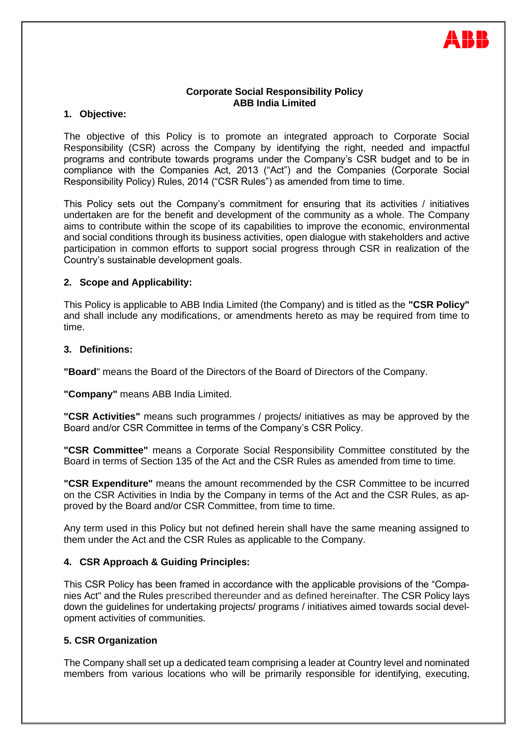

## **Corporate Social Responsibility Policy ABB India Limited**

## **1. Objective:**

The objective of this Policy is to promote an integrated approach to Corporate Social Responsibility (CSR) across the Company by identifying the right, needed and impactful programs and contribute towards programs under the Company's CSR budget and to be in compliance with the Companies Act, 2013 ("Act") and the Companies (Corporate Social Responsibility Policy) Rules, 2014 ("CSR Rules") as amended from time to time.

This Policy sets out the Company's commitment for ensuring that its activities / initiatives undertaken are for the benefit and development of the community as a whole. The Company aims to contribute within the scope of its capabilities to improve the economic, environmental and social conditions through its business activities, open dialogue with stakeholders and active participation in common efforts to support social progress through CSR in realization of the Country's sustainable development goals.

## **2. Scope and Applicability:**

This Policy is applicable to ABB India Limited (the Company) and is titled as the **"CSR Policy"** and shall include any modifications, or amendments hereto as may be required from time to time.

## **3. Definitions:**

**"Board**" means the Board of the Directors of the Board of Directors of the Company.

**"Company"** means ABB India Limited.

**"CSR Activities"** means such programmes / projects/ initiatives as may be approved by the Board and/or CSR Committee in terms of the Company's CSR Policy.

**"CSR Committee"** means a Corporate Social Responsibility Committee constituted by the Board in terms of Section 135 of the Act and the CSR Rules as amended from time to time.

**"CSR Expenditure"** means the amount recommended by the CSR Committee to be incurred on the CSR Activities in India by the Company in terms of the Act and the CSR Rules, as approved by the Board and/or CSR Committee, from time to time.

Any term used in this Policy but not defined herein shall have the same meaning assigned to them under the Act and the CSR Rules as applicable to the Company.

## **4. CSR Approach & Guiding Principles:**

This CSR Policy has been framed in accordance with the applicable provisions of the "Companies Act" and the Rules prescribed thereunder and as defined hereinafter. The CSR Policy lays down the guidelines for undertaking projects/ programs / initiatives aimed towards social development activities of communities.

#### **5. CSR Organization**

The Company shall set up a dedicated team comprising a leader at Country level and nominated members from various locations who will be primarily responsible for identifying, executing,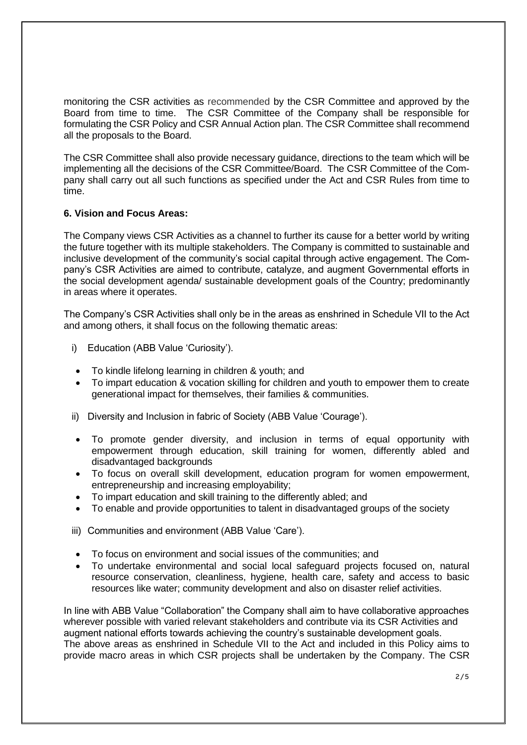monitoring the CSR activities as recommended by the CSR Committee and approved by the Board from time to time. The CSR Committee of the Company shall be responsible for formulating the CSR Policy and CSR Annual Action plan. The CSR Committee shall recommend all the proposals to the Board.

The CSR Committee shall also provide necessary guidance, directions to the team which will be implementing all the decisions of the CSR Committee/Board. The CSR Committee of the Company shall carry out all such functions as specified under the Act and CSR Rules from time to time.

## **6. Vision and Focus Areas:**

The Company views CSR Activities as a channel to further its cause for a better world by writing the future together with its multiple stakeholders. The Company is committed to sustainable and inclusive development of the community's social capital through active engagement. The Company's CSR Activities are aimed to contribute, catalyze, and augment Governmental efforts in the social development agenda/ sustainable development goals of the Country; predominantly in areas where it operates.

The Company's CSR Activities shall only be in the areas as enshrined in Schedule VII to the Act and among others, it shall focus on the following thematic areas:

- i) Education (ABB Value 'Curiosity').
- To kindle lifelong learning in children & youth; and
- To impart education & vocation skilling for children and youth to empower them to create generational impact for themselves, their families & communities.
- ii) Diversity and Inclusion in fabric of Society (ABB Value 'Courage').
- To promote gender diversity, and inclusion in terms of equal opportunity with empowerment through education, skill training for women, differently abled and disadvantaged backgrounds
- To focus on overall skill development, education program for women empowerment, entrepreneurship and increasing employability;
- To impart education and skill training to the differently abled; and
- To enable and provide opportunities to talent in disadvantaged groups of the society
- iii) Communities and environment (ABB Value 'Care').
- To focus on environment and social issues of the communities; and
- To undertake environmental and social local safeguard projects focused on, natural resource conservation, cleanliness, hygiene, health care, safety and access to basic resources like water; community development and also on disaster relief activities.

In line with ABB Value "Collaboration" the Company shall aim to have collaborative approaches wherever possible with varied relevant stakeholders and contribute via its CSR Activities and augment national efforts towards achieving the country's sustainable development goals. The above areas as enshrined in Schedule VII to the Act and included in this Policy aims to provide macro areas in which CSR projects shall be undertaken by the Company. The CSR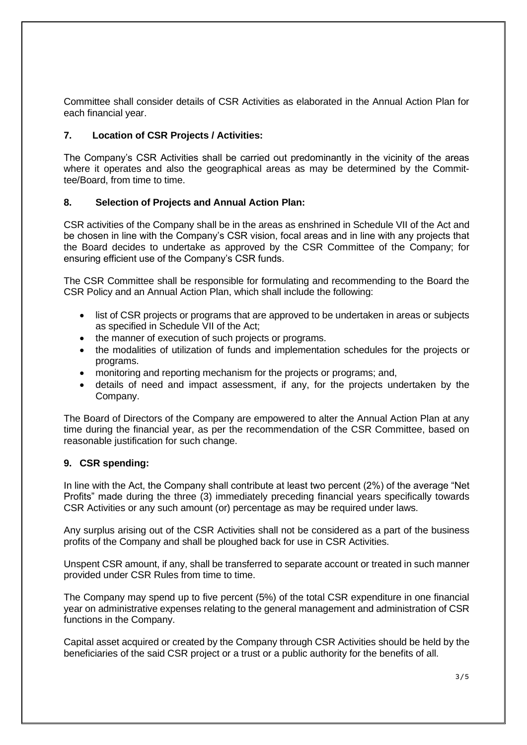Committee shall consider details of CSR Activities as elaborated in the Annual Action Plan for each financial year.

# **7. Location of CSR Projects / Activities:**

The Company's CSR Activities shall be carried out predominantly in the vicinity of the areas where it operates and also the geographical areas as may be determined by the Committee/Board, from time to time.

## **8. Selection of Projects and Annual Action Plan:**

CSR activities of the Company shall be in the areas as enshrined in Schedule VII of the Act and be chosen in line with the Company's CSR vision, focal areas and in line with any projects that the Board decides to undertake as approved by the CSR Committee of the Company; for ensuring efficient use of the Company's CSR funds.

The CSR Committee shall be responsible for formulating and recommending to the Board the CSR Policy and an Annual Action Plan, which shall include the following:

- list of CSR projects or programs that are approved to be undertaken in areas or subjects as specified in Schedule VII of the Act;
- the manner of execution of such projects or programs.
- the modalities of utilization of funds and implementation schedules for the projects or programs.
- monitoring and reporting mechanism for the projects or programs; and,
- details of need and impact assessment, if any, for the projects undertaken by the Company.

The Board of Directors of the Company are empowered to alter the Annual Action Plan at any time during the financial year, as per the recommendation of the CSR Committee, based on reasonable justification for such change.

## **9. CSR spending:**

In line with the Act, the Company shall contribute at least two percent (2%) of the average "Net Profits" made during the three (3) immediately preceding financial years specifically towards CSR Activities or any such amount (or) percentage as may be required under laws.

Any surplus arising out of the CSR Activities shall not be considered as a part of the business profits of the Company and shall be ploughed back for use in CSR Activities.

Unspent CSR amount, if any, shall be transferred to separate account or treated in such manner provided under CSR Rules from time to time.

The Company may spend up to five percent (5%) of the total CSR expenditure in one financial year on administrative expenses relating to the general management and administration of CSR functions in the Company.

Capital asset acquired or created by the Company through CSR Activities should be held by the beneficiaries of the said CSR project or a trust or a public authority for the benefits of all.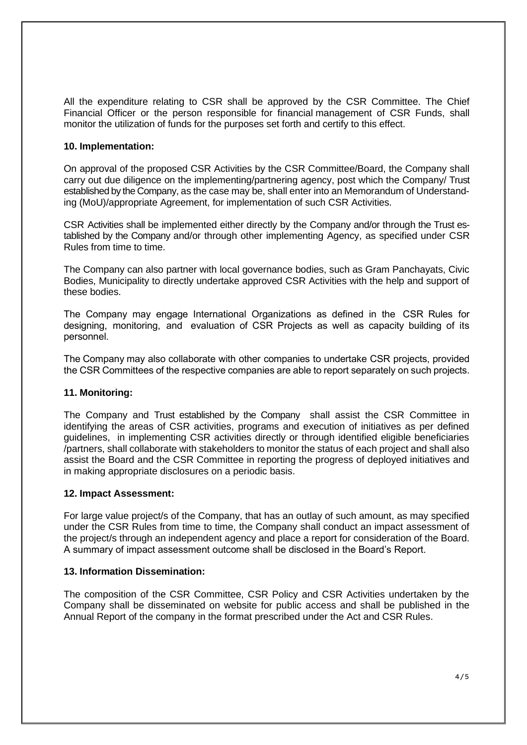All the expenditure relating to CSR shall be approved by the CSR Committee. The Chief Financial Officer or the person responsible for financial management of CSR Funds, shall monitor the utilization of funds for the purposes set forth and certify to this effect.

## **10. Implementation:**

On approval of the proposed CSR Activities by the CSR Committee/Board, the Company shall carry out due diligence on the implementing/partnering agency, post which the Company/ Trust established by the Company, as the case may be, shall enter into an Memorandum of Understanding (MoU)/appropriate Agreement, for implementation of such CSR Activities.

CSR Activities shall be implemented either directly by the Company and/or through the Trust established by the Company and/or through other implementing Agency, as specified under CSR Rules from time to time.

The Company can also partner with local governance bodies, such as Gram Panchayats, Civic Bodies, Municipality to directly undertake approved CSR Activities with the help and support of these bodies.

The Company may engage International Organizations as defined in the CSR Rules for designing, monitoring, and evaluation of CSR Projects as well as capacity building of its personnel.

The Company may also collaborate with other companies to undertake CSR projects, provided the CSR Committees of the respective companies are able to report separately on such projects.

#### **11. Monitoring:**

The Company and Trust established by the Company shall assist the CSR Committee in identifying the areas of CSR activities, programs and execution of initiatives as per defined guidelines, in implementing CSR activities directly or through identified eligible beneficiaries /partners, shall collaborate with stakeholders to monitor the status of each project and shall also assist the Board and the CSR Committee in reporting the progress of deployed initiatives and in making appropriate disclosures on a periodic basis.

#### **12. Impact Assessment:**

For large value project/s of the Company, that has an outlay of such amount, as may specified under the CSR Rules from time to time, the Company shall conduct an impact assessment of the project/s through an independent agency and place a report for consideration of the Board. A summary of impact assessment outcome shall be disclosed in the Board's Report.

#### **13. Information Dissemination:**

The composition of the CSR Committee, CSR Policy and CSR Activities undertaken by the Company shall be disseminated on website for public access and shall be published in the Annual Report of the company in the format prescribed under the Act and CSR Rules.